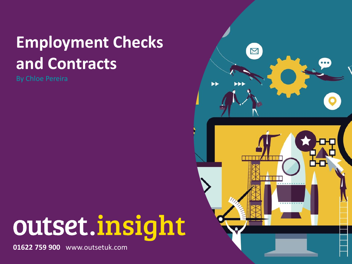## **Employment Checks and Contracts**

By Chloe Pereira

# outset.insight

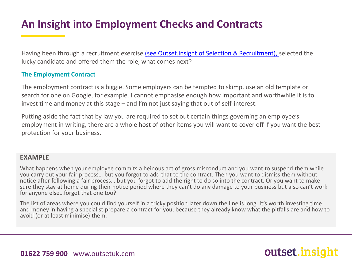Having been through a recruitment exercise (see Outset.insight [of Selection & Recruitment\), s](https://www.outsetuk.com/cms/document/Outset_insight___selection_and_recruitment__002_.pdf)elected the lucky candidate and offered them the role, what comes next?

#### **The Employment Contract**

The employment contract is a biggie. Some employers can be tempted to skimp, use an old template or search for one on Google, for example. I cannot emphasise enough how important and worthwhile it is to invest time and money at this stage – and I'm not just saying that out of self-interest.

Putting aside the fact that by law you are required to set out certain things governing an employee's employment in writing, there are a whole host of other items you will want to cover off if you want the best protection for your business.

#### **EXAMPLE**

What happens when your employee commits a heinous act of gross misconduct and you want to suspend them while you carry out your fair process… but you forgot to add that to the contract. Then you want to dismiss them without notice after following a fair process… but you forgot to add the right to do so into the contract. Or you want to make sure they stay at home during their notice period where they can't do any damage to your business but also can't work for anyone else…forgot that one too?

The list of areas where you could find yourself in a tricky position later down the line is long. It's worth investing time and money in having a specialist prepare a contract for you, because they already know what the pitfalls are and how to avoid (or at least minimise) them.

outset.ins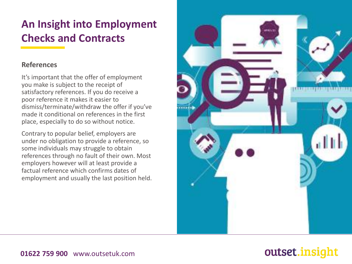#### **References**

It's important that the offer of employment you make is subject to the receipt of satisfactory references. If you do receive a poor reference it makes it easier to dismiss/terminate/withdraw the offer if you've made it conditional on references in the first place, especially to do so without notice.

Contrary to popular belief, employers are under no obligation to provide a reference, so some individuals may struggle to obtain references through no fault of their own. Most employers however will at least provide a factual reference which confirms dates of employment and usually the last position held.



## outset.insight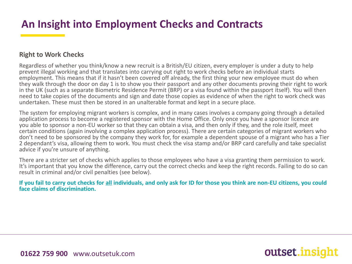#### **Right to Work Checks**

Regardless of whether you think/know a new recruit is a British/EU citizen, every employer is under a duty to help prevent illegal working and that translates into carrying out right to work checks before an individual starts employment. This means that if it hasn't been covered off already, the first thing your new employee must do when they walk through the door on day 1 is to show you their passport and any other documents proving their right to work in the UK (such as a separate Biometric Residence Permit (BRP) or a visa found within the passport itself). You will then need to take copies of the documents and sign and date those copies as evidence of when the right to work check was undertaken. These must then be stored in an unalterable format and kept in a secure place.

The system for employing migrant workers is complex, and in many cases involves a company going through a detailed application process to become a registered sponsor with the Home Office. Only once you have a sponsor licence are you able to sponsor a non-EU worker so that they can obtain a visa, and then only if they, and the role itself, meet certain conditions (again involving a complex application process). There are certain categories of migrant workers who don't need to be sponsored by the company they work for, for example a dependent spouse of a migrant who has a Tier 2 dependant's visa, allowing them to work. You must check the visa stamp and/or BRP card carefully and take specialist advice if you're unsure of anything.

There are a stricter set of checks which applies to those employees who have a visa granting them permission to work. It's important that you know the difference, carry out the correct checks and keep the right records. Failing to do so can result in criminal and/or civil penalties (see below).

**If you fail to carry out checks for all individuals, and only ask for ID for those you think are non-EU citizens, you could face claims of discrimination.**

outset.insi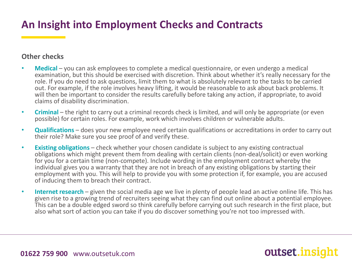#### **Other checks**

- **Medical** you can ask employees to complete a medical questionnaire, or even undergo a medical examination, but this should be exercised with discretion. Think about whether it's really necessary for the role. If you do need to ask questions, limit them to what is absolutely relevant to the tasks to be carried out. For example, if the role involves heavy lifting, it would be reasonable to ask about back problems. It will then be important to consider the results carefully before taking any action, if appropriate, to avoid claims of disability discrimination.
- **Criminal** the right to carry out a criminal records check is limited, and will only be appropriate (or even possible) for certain roles. For example, work which involves children or vulnerable adults.
- **Qualifications** does your new employee need certain qualifications or accreditations in order to carry out their role? Make sure you see proof of and verify these.
- **Existing obligations**  check whether your chosen candidate is subject to any existing contractual obligations which might prevent them from dealing with certain clients (non-deal/solicit) or even working for you for a certain time (non-compete). Include wording in the employment contract whereby the individual gives you a warranty that they are not in breach of any existing obligations by starting their employment with you. This will help to provide you with some protection if, for example, you are accused of inducing them to breach their contract.
- **Internet research**  given the social media age we live in plenty of people lead an active online life. This has given rise to a growing trend of recruiters seeing what they can find out online about a potential employee. This can be a double edged sword so think carefully before carrying out such research in the first place, but also what sort of action you can take if you do discover something you're not too impressed with.

outset.insic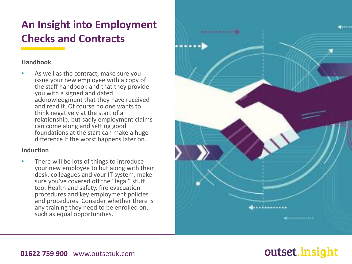#### **Handbook**

• As well as the contract, make sure you issue your new employee with a copy of the staff handbook and that they provide you with a signed and dated acknowledgment that they have received and read it. Of course no one wants to think negatively at the start of a relationship, but sadly employment claims can come along and setting good foundations at the start can make a huge difference if the worst happens later on.

#### **Induction**

There will be lots of things to introduce your new employee to but along with their desk, colleagues and your IT system, make sure you've covered off the "legal" stuff too. Health and safety, fire evacuation procedures and key employment policies and procedures. Consider whether there is any training they need to be enrolled on, such as equal opportunities.



## outset.insight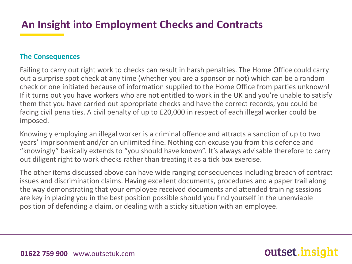#### **The Consequences**

Failing to carry out right work to checks can result in harsh penalties. The Home Office could carry out a surprise spot check at any time (whether you are a sponsor or not) which can be a random check or one initiated because of information supplied to the Home Office from parties unknown! If it turns out you have workers who are not entitled to work in the UK and you're unable to satisfy them that you have carried out appropriate checks and have the correct records, you could be facing civil penalties. A civil penalty of up to £20,000 in respect of each illegal worker could be imposed.

Knowingly employing an illegal worker is a criminal offence and attracts a sanction of up to two years' imprisonment and/or an unlimited fine. Nothing can excuse you from this defence and "knowingly" basically extends to "you should have known". It's always advisable therefore to carry out diligent right to work checks rather than treating it as a tick box exercise.

The other items discussed above can have wide ranging consequences including breach of contract issues and discrimination claims. Having excellent documents, procedures and a paper trail along the way demonstrating that your employee received documents and attended training sessions are key in placing you in the best position possible should you find yourself in the unenviable position of defending a claim, or dealing with a sticky situation with an employee.

outset.ins